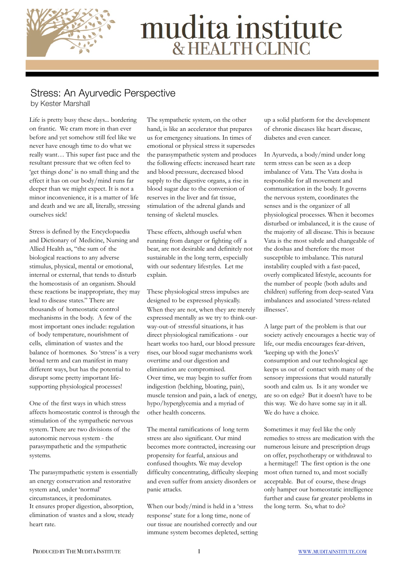

## mudita institute

## Stress: An Ayurvedic Perspective

by Kester Marshall

Life is pretty busy these days... bordering on frantic. We cram more in than ever before and yet somehow still feel like we never have enough time to do what we really want… This super fast pace and the resultant pressure that we often feel to 'get things done' is no small thing and the effect it has on our body/mind runs far deeper than we might expect. It is not a minor inconvenience, it is a matter of life and death and we are all, literally, stressing ourselves sick!

Stress is defined by the Encyclopaedia and Dictionary of Medicine, Nursing and Allied Health as, "the sum of the biological reactions to any adverse stimulus, physical, mental or emotional, internal or external, that tends to disturb the homeostasis of an organism. Should these reactions be inappropriate, they may lead to disease states." There are thousands of homeostatic control mechanisms in the body. A few of the most important ones include: regulation of body temperature, nourishment of cells, elimination of wastes and the balance of hormones. So 'stress' is a very broad term and can manifest in many different ways, but has the potential to disrupt some pretty important lifesupporting physiological processes!

One of the first ways in which stress affects homeostatic control is through the stimulation of the sympathetic nervous system. There are two divisions of the autonomic nervous system - the parasympathetic and the sympathetic systems.

The parasympathetic system is essentially an energy conservation and restorative system and, under 'normal' circumstances, it predominates. It ensures proper digestion, absorption, elimination of wastes and a slow, steady heart rate.

The sympathetic system, on the other hand, is like an accelerator that prepares us for emergency situations. In times of emotional or physical stress it supersedes the parasympathetic system and produces the following effects: increased heart rate and blood pressure, decreased blood supply to the digestive organs, a rise in blood sugar due to the conversion of reserves in the liver and fat tissue, stimulation of the adrenal glands and tensing of skeletal muscles.

These effects, although useful when running from danger or fighting off a bear, are not desirable and definitely not sustainable in the long term, especially with our sedentary lifestyles. Let me explain.

These physiological stress impulses are designed to be expressed physically. When they are not, when they are merely expressed mentally as we try to think-ourway-out-of stressful situations, it has direct physiological ramifications - our heart works too hard, our blood pressure rises, our blood sugar mechanisms work overtime and our digestion and elimination are compromised. Over time, we may begin to suffer from indigestion (belching, bloating, pain), muscle tension and pain, a lack of energy, hypo/hyperglycemia and a myriad of other health concerns.

The mental ramifications of long term stress are also significant. Our mind becomes more contracted, increasing our propensity for fearful, anxious and confused thoughts. We may develop difficulty concentrating, difficulty sleeping and even suffer from anxiety disorders or panic attacks.

When our body/mind is held in a 'stress response' state for a long time, none of our tissue are nourished correctly and our immune system becomes depleted, setting up a solid platform for the development of chronic diseases like heart disease, diabetes and even cancer.

In Ayurveda, a body/mind under long term stress can be seen as a deep imbalance of Vata. The Vata dosha is responsible for all movement and communication in the body. It governs the nervous system, coordinates the senses and is the organizer of all physiological processes. When it becomes disturbed or imbalanced, it is the cause of the majority of all disease. This is because Vata is the most subtle and changeable of the doshas and therefore the most susceptible to imbalance. This natural instability coupled with a fast-paced, overly complicated lifestyle, accounts for the number of people (both adults and children) suffering from deep-seated Vata imbalances and associated 'stress-related illnesses'.

A large part of the problem is that our society actively encourages a hectic way of life, our media encourages fear-driven, 'keeping up with the Jones's' consumption and our technological age keeps us out of contact with many of the sensory impressions that would naturally sooth and calm us. Is it any wonder we are so on edge? But it doesn't have to be this way. We do have some say in it all. We do have a choice.

Sometimes it may feel like the only remedies to stress are medication with the numerous leisure and prescription drugs on offer, psychotherapy or withdrawal to a hermitage!! The first option is the one most often turned to, and most socially acceptable. But of course, these drugs only hamper our homeostatic intelligence further and cause far greater problems in the long term. So, what to do?